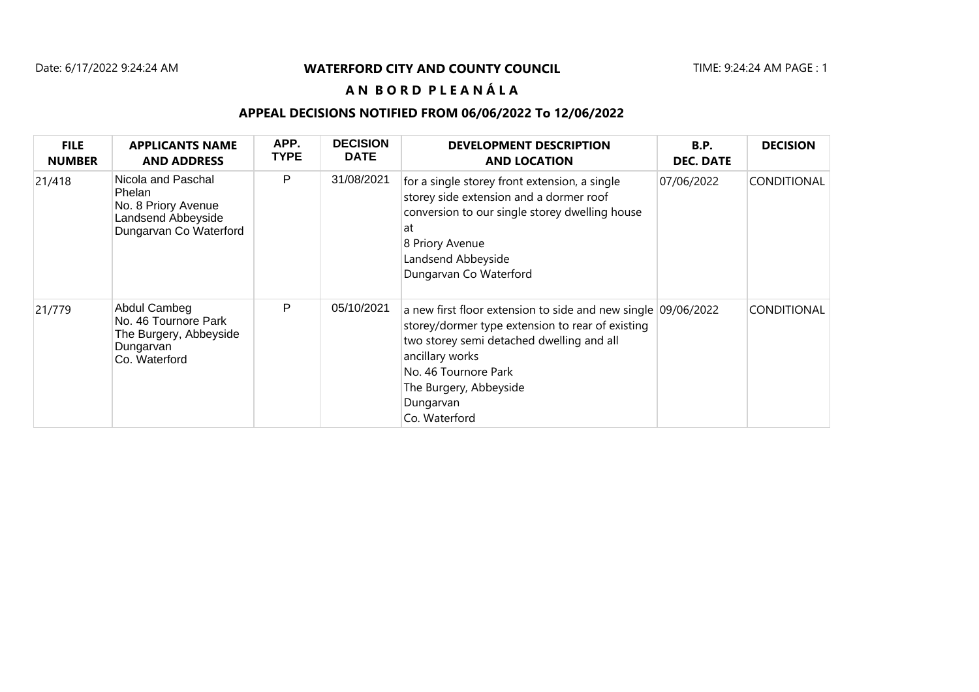### Date: 6/17/2022 9:24:24 AM TIME: 9:24:24 AM PAGE : 1 **WATERFORD CITY AND COUNTY COUNCIL**

## **A N B O R D P L E A N Á L A**

### **APPEAL DECISIONS NOTIFIED FROM 06/06/2022 To 12/06/2022**

| <b>FILE</b><br><b>NUMBER</b> | <b>APPLICANTS NAME</b><br><b>AND ADDRESS</b>                                                        | APP.<br><b>TYPE</b> | <b>DECISION</b><br><b>DATE</b> | <b>DEVELOPMENT DESCRIPTION</b><br><b>AND LOCATION</b>                                                                                                                                                                                                             | <b>B.P.</b><br><b>DEC. DATE</b> | <b>DECISION</b>    |
|------------------------------|-----------------------------------------------------------------------------------------------------|---------------------|--------------------------------|-------------------------------------------------------------------------------------------------------------------------------------------------------------------------------------------------------------------------------------------------------------------|---------------------------------|--------------------|
| 21/418                       | Nicola and Paschal<br>Phelan<br>No. 8 Priory Avenue<br>Landsend Abbeyside<br>Dungarvan Co Waterford | P                   | 31/08/2021                     | for a single storey front extension, a single<br>storey side extension and a dormer roof<br>conversion to our single storey dwelling house<br>at<br>8 Priory Avenue<br>Landsend Abbeyside<br>Dungarvan Co Waterford                                               | 07/06/2022                      | <b>CONDITIONAL</b> |
| 21/779                       | Abdul Cambeg<br>No. 46 Tournore Park<br>The Burgery, Abbeyside<br>Dungarvan<br>Co. Waterford        | P                   | 05/10/2021                     | a new first floor extension to side and new single 09/06/2022<br>storey/dormer type extension to rear of existing<br>two storey semi detached dwelling and all<br>ancillary works<br>No. 46 Tournore Park<br>The Burgery, Abbeyside<br>Dungarvan<br>Co. Waterford |                                 | <b>CONDITIONAL</b> |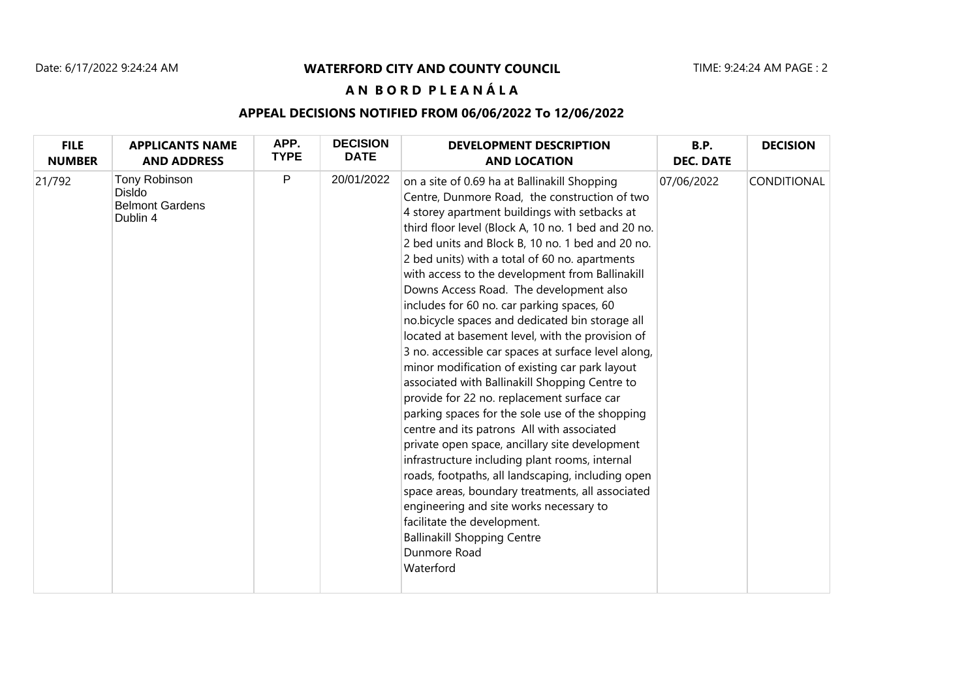#### Date: 6/17/2022 9:24:24 AM TIME: 9:24:24 AM PAGE : 2 **WATERFORD CITY AND COUNTY COUNCIL**

## **A N B O R D P L E A N Á L A**

### **APPEAL DECISIONS NOTIFIED FROM 06/06/2022 To 12/06/2022**

| <b>FILE</b>   | <b>APPLICANTS NAME</b>                                        | APP.        | <b>DECISION</b> | <b>DEVELOPMENT DESCRIPTION</b>                                                                                                                                                                                                                                                                                                                                                                                                                                                                                                                                                                                                                                                                                                                                                                                                                                                                                                                                                                                                                                                                                                                                                                                                     | <b>B.P.</b>      | <b>DECISION</b> |
|---------------|---------------------------------------------------------------|-------------|-----------------|------------------------------------------------------------------------------------------------------------------------------------------------------------------------------------------------------------------------------------------------------------------------------------------------------------------------------------------------------------------------------------------------------------------------------------------------------------------------------------------------------------------------------------------------------------------------------------------------------------------------------------------------------------------------------------------------------------------------------------------------------------------------------------------------------------------------------------------------------------------------------------------------------------------------------------------------------------------------------------------------------------------------------------------------------------------------------------------------------------------------------------------------------------------------------------------------------------------------------------|------------------|-----------------|
| <b>NUMBER</b> | <b>AND ADDRESS</b>                                            | <b>TYPE</b> | <b>DATE</b>     | <b>AND LOCATION</b>                                                                                                                                                                                                                                                                                                                                                                                                                                                                                                                                                                                                                                                                                                                                                                                                                                                                                                                                                                                                                                                                                                                                                                                                                | <b>DEC. DATE</b> |                 |
| 21/792        | Tony Robinson<br>Disldo<br><b>Belmont Gardens</b><br>Dublin 4 | P           | 20/01/2022      | on a site of 0.69 ha at Ballinakill Shopping<br>Centre, Dunmore Road, the construction of two<br>4 storey apartment buildings with setbacks at<br>third floor level (Block A, 10 no. 1 bed and 20 no.<br>2 bed units and Block B, 10 no. 1 bed and 20 no.<br>2 bed units) with a total of 60 no. apartments<br>with access to the development from Ballinakill<br>Downs Access Road. The development also<br>includes for 60 no. car parking spaces, 60<br>no.bicycle spaces and dedicated bin storage all<br>located at basement level, with the provision of<br>3 no. accessible car spaces at surface level along,<br>minor modification of existing car park layout<br>associated with Ballinakill Shopping Centre to<br>provide for 22 no. replacement surface car<br>parking spaces for the sole use of the shopping<br>centre and its patrons All with associated<br>private open space, ancillary site development<br>infrastructure including plant rooms, internal<br>roads, footpaths, all landscaping, including open<br>space areas, boundary treatments, all associated<br>engineering and site works necessary to<br>facilitate the development.<br><b>Ballinakill Shopping Centre</b><br>Dunmore Road<br>Waterford | 07/06/2022       | CONDITIONAL     |